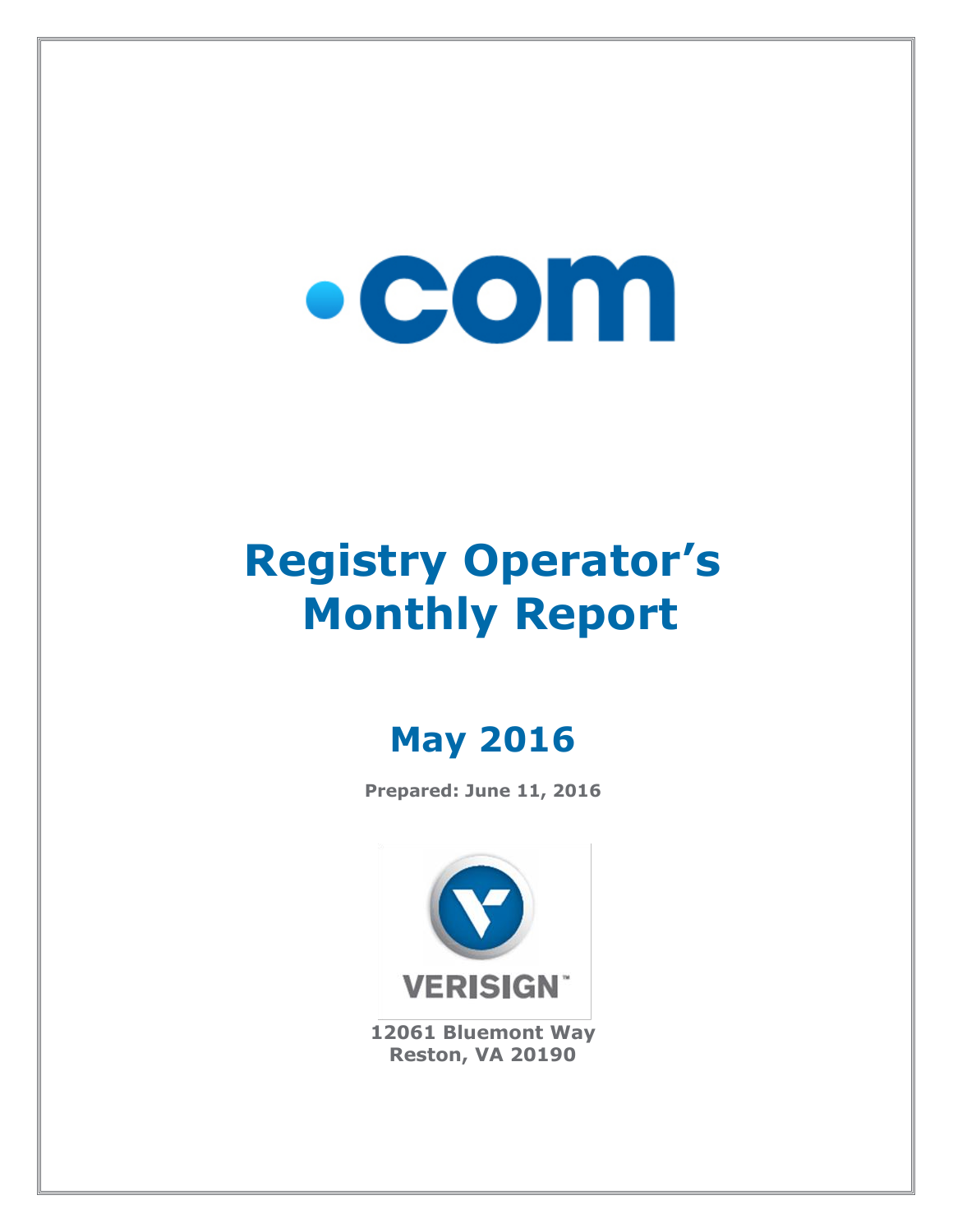# $\bullet$  COM

## **Registry Operator's Monthly Report**

### **May 2016**

**Prepared: June 11, 2016**



**12061 Bluemont Way Reston, VA 20190**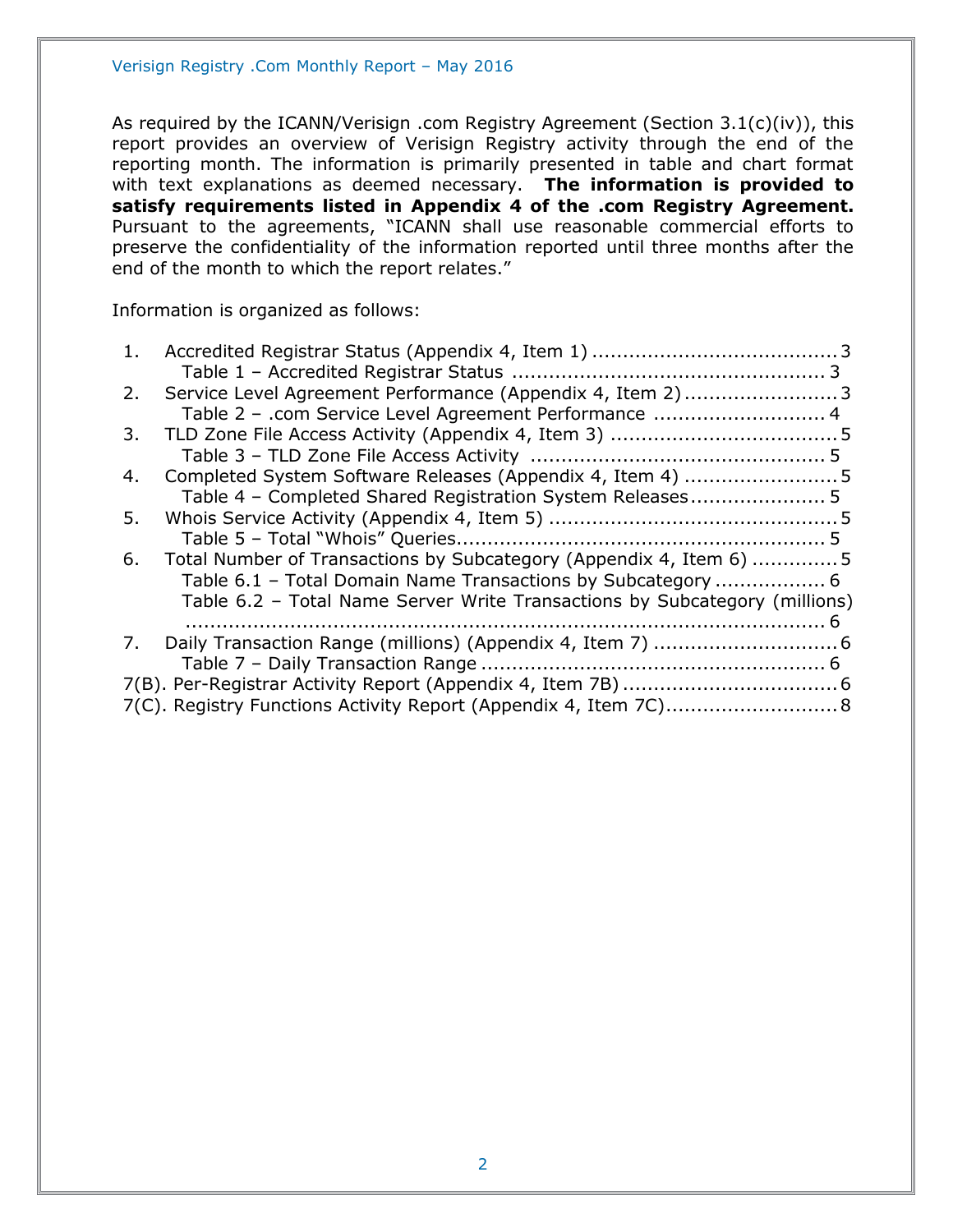As required by the ICANN/Verisign .com Registry Agreement (Section 3.1(c)(iv)), this report provides an overview of Verisign Registry activity through the end of the reporting month. The information is primarily presented in table and chart format with text explanations as deemed necessary. **The information is provided to satisfy requirements listed in Appendix 4 of the .com Registry Agreement.** Pursuant to the agreements, "ICANN shall use reasonable commercial efforts to preserve the confidentiality of the information reported until three months after the end of the month to which the report relates."

Information is organized as follows:

| 1. |                                                                            |  |
|----|----------------------------------------------------------------------------|--|
|    |                                                                            |  |
| 2. | Service Level Agreement Performance (Appendix 4, Item 2) 3                 |  |
|    | Table 2 - .com Service Level Agreement Performance  4                      |  |
| 3. |                                                                            |  |
|    |                                                                            |  |
| 4. | Completed System Software Releases (Appendix 4, Item 4) 5                  |  |
|    | Table 4 - Completed Shared Registration System Releases 5                  |  |
| 5. |                                                                            |  |
|    |                                                                            |  |
| 6. | Total Number of Transactions by Subcategory (Appendix 4, Item 6) 5         |  |
|    | Table 6.1 - Total Domain Name Transactions by Subcategory  6               |  |
|    | Table 6.2 - Total Name Server Write Transactions by Subcategory (millions) |  |
|    |                                                                            |  |
| 7. |                                                                            |  |
|    |                                                                            |  |
|    |                                                                            |  |
|    | 7(C). Registry Functions Activity Report (Appendix 4, Item 7C) 8           |  |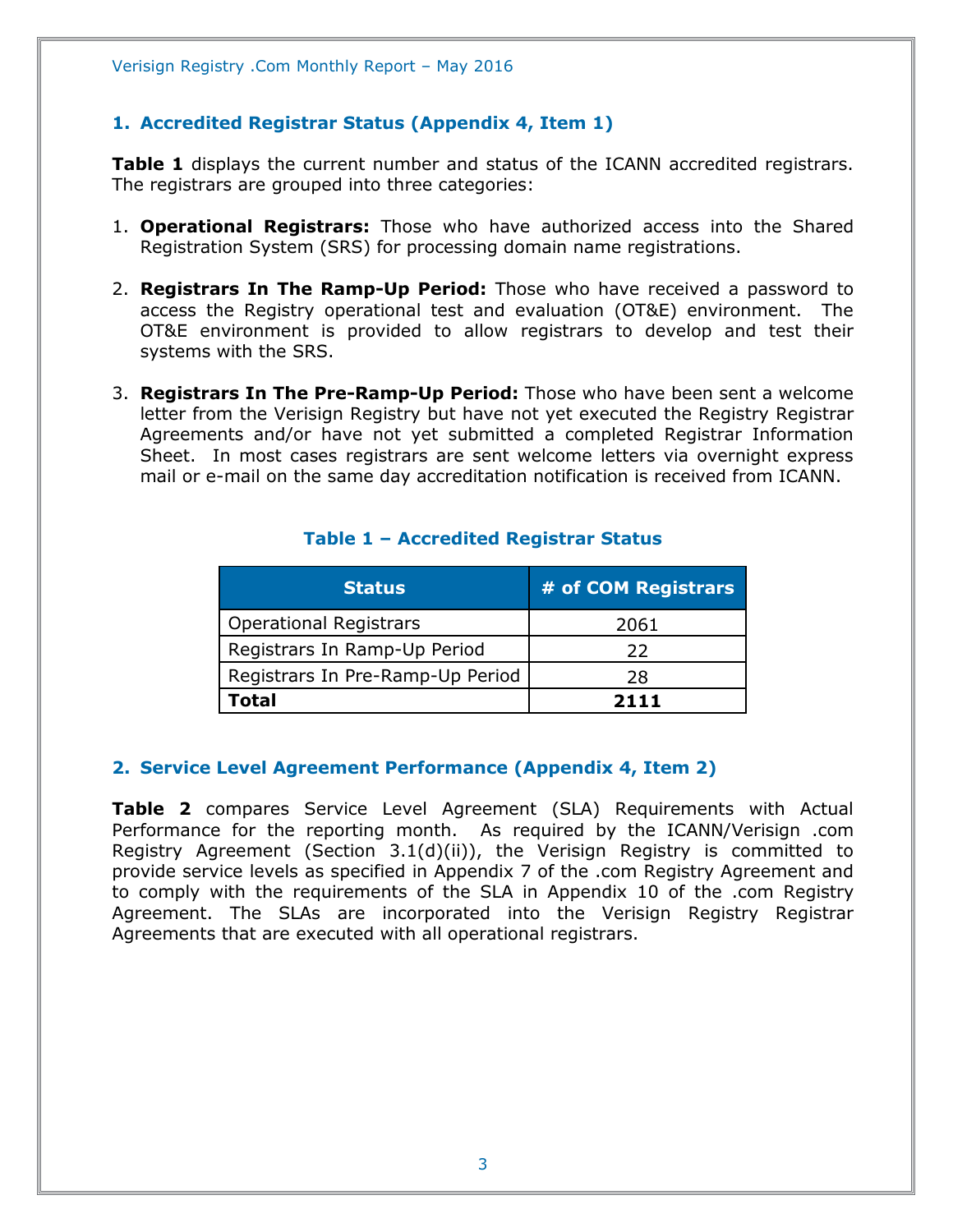#### <span id="page-2-0"></span>**1. Accredited Registrar Status (Appendix 4, Item 1)**

**Table 1** displays the current number and status of the ICANN accredited registrars. The registrars are grouped into three categories:

- 1. **Operational Registrars:** Those who have authorized access into the Shared Registration System (SRS) for processing domain name registrations.
- 2. **Registrars In The Ramp-Up Period:** Those who have received a password to access the Registry operational test and evaluation (OT&E) environment. The OT&E environment is provided to allow registrars to develop and test their systems with the SRS.
- 3. **Registrars In The Pre-Ramp-Up Period:** Those who have been sent a welcome letter from the Verisign Registry but have not yet executed the Registry Registrar Agreements and/or have not yet submitted a completed Registrar Information Sheet. In most cases registrars are sent welcome letters via overnight express mail or e-mail on the same day accreditation notification is received from ICANN.

<span id="page-2-1"></span>

| <b>Status</b>                    | # of COM Registrars |
|----------------------------------|---------------------|
| <b>Operational Registrars</b>    | 2061                |
| Registrars In Ramp-Up Period     | つつ                  |
| Registrars In Pre-Ramp-Up Period | 28                  |
| Total                            | 7111                |

#### **Table 1 – Accredited Registrar Status**

#### <span id="page-2-2"></span>**2. Service Level Agreement Performance (Appendix 4, Item 2)**

**Table 2** compares Service Level Agreement (SLA) Requirements with Actual Performance for the reporting month. As required by the ICANN/Verisign .com Registry Agreement (Section 3.1(d)(ii)), the Verisign Registry is committed to provide service levels as specified in Appendix 7 of the .com Registry Agreement and to comply with the requirements of the SLA in Appendix 10 of the .com Registry Agreement. The SLAs are incorporated into the Verisign Registry Registrar Agreements that are executed with all operational registrars.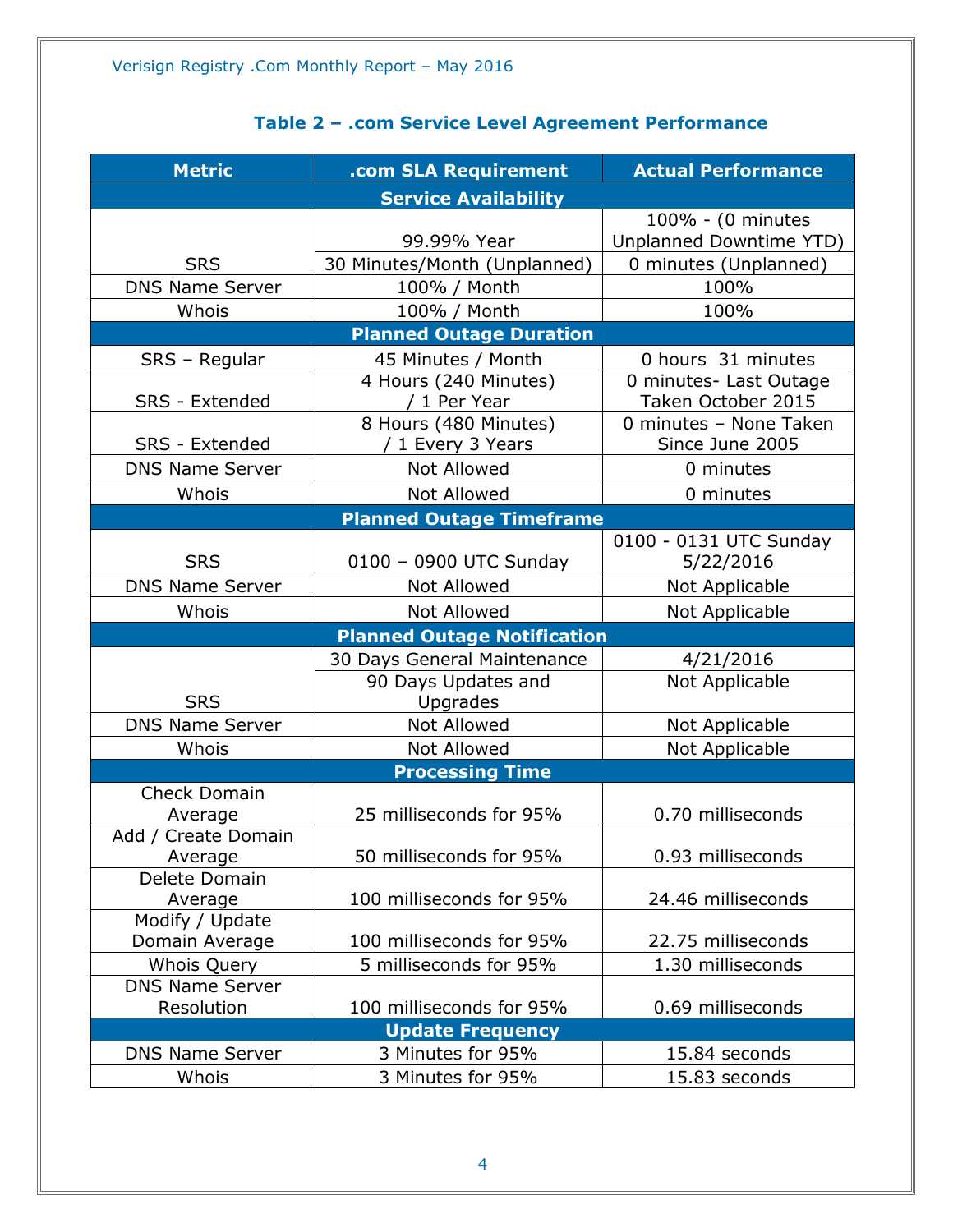|  | Table 2 - .com Service Level Agreement Performance |
|--|----------------------------------------------------|
|--|----------------------------------------------------|

<span id="page-3-1"></span><span id="page-3-0"></span>

| <b>Metric</b>               | .com SLA Requirement               | <b>Actual Performance</b> |  |  |  |
|-----------------------------|------------------------------------|---------------------------|--|--|--|
| <b>Service Availability</b> |                                    |                           |  |  |  |
|                             |                                    | 100% - (0 minutes         |  |  |  |
|                             | 99.99% Year                        | Unplanned Downtime YTD)   |  |  |  |
| <b>SRS</b>                  | 30 Minutes/Month (Unplanned)       | 0 minutes (Unplanned)     |  |  |  |
| <b>DNS Name Server</b>      | 100% / Month                       | 100%                      |  |  |  |
| Whois                       | 100% / Month                       | 100%                      |  |  |  |
|                             | <b>Planned Outage Duration</b>     |                           |  |  |  |
| SRS - Regular               | 45 Minutes / Month                 | 0 hours 31 minutes        |  |  |  |
|                             | 4 Hours (240 Minutes)              | 0 minutes- Last Outage    |  |  |  |
| SRS - Extended              | / 1 Per Year                       | Taken October 2015        |  |  |  |
|                             | 8 Hours (480 Minutes)              | 0 minutes - None Taken    |  |  |  |
| SRS - Extended              | / 1 Every 3 Years                  | Since June 2005           |  |  |  |
| <b>DNS Name Server</b>      | <b>Not Allowed</b>                 | 0 minutes                 |  |  |  |
| Whois                       | <b>Not Allowed</b>                 | 0 minutes                 |  |  |  |
|                             | <b>Planned Outage Timeframe</b>    |                           |  |  |  |
|                             |                                    | 0100 - 0131 UTC Sunday    |  |  |  |
| <b>SRS</b>                  | 0100 - 0900 UTC Sunday             | 5/22/2016                 |  |  |  |
| <b>DNS Name Server</b>      | <b>Not Allowed</b>                 | Not Applicable            |  |  |  |
| Whois                       | <b>Not Allowed</b>                 | Not Applicable            |  |  |  |
|                             | <b>Planned Outage Notification</b> |                           |  |  |  |
|                             | 30 Days General Maintenance        | 4/21/2016                 |  |  |  |
|                             | 90 Days Updates and                | Not Applicable            |  |  |  |
| <b>SRS</b>                  | Upgrades                           |                           |  |  |  |
| <b>DNS Name Server</b>      | <b>Not Allowed</b>                 | Not Applicable            |  |  |  |
| Whois                       | <b>Not Allowed</b>                 | Not Applicable            |  |  |  |
|                             | <b>Processing Time</b>             |                           |  |  |  |
| <b>Check Domain</b>         |                                    |                           |  |  |  |
| Average                     | 25 milliseconds for 95%            | 0.70 milliseconds         |  |  |  |
| Add / Create Domain         | 50 milliseconds for 95%            | 0.93 milliseconds         |  |  |  |
| Average<br>Delete Domain    |                                    |                           |  |  |  |
| Average                     | 100 milliseconds for 95%           | 24.46 milliseconds        |  |  |  |
| Modify / Update             |                                    |                           |  |  |  |
| Domain Average              | 100 milliseconds for 95%           | 22.75 milliseconds        |  |  |  |
| Whois Query                 | 5 milliseconds for 95%             | 1.30 milliseconds         |  |  |  |
| <b>DNS Name Server</b>      |                                    |                           |  |  |  |
| Resolution                  | 100 milliseconds for 95%           | 0.69 milliseconds         |  |  |  |
|                             | <b>Update Frequency</b>            |                           |  |  |  |
| <b>DNS Name Server</b>      | 3 Minutes for 95%                  | 15.84 seconds             |  |  |  |
| Whois                       | 3 Minutes for 95%                  | 15.83 seconds             |  |  |  |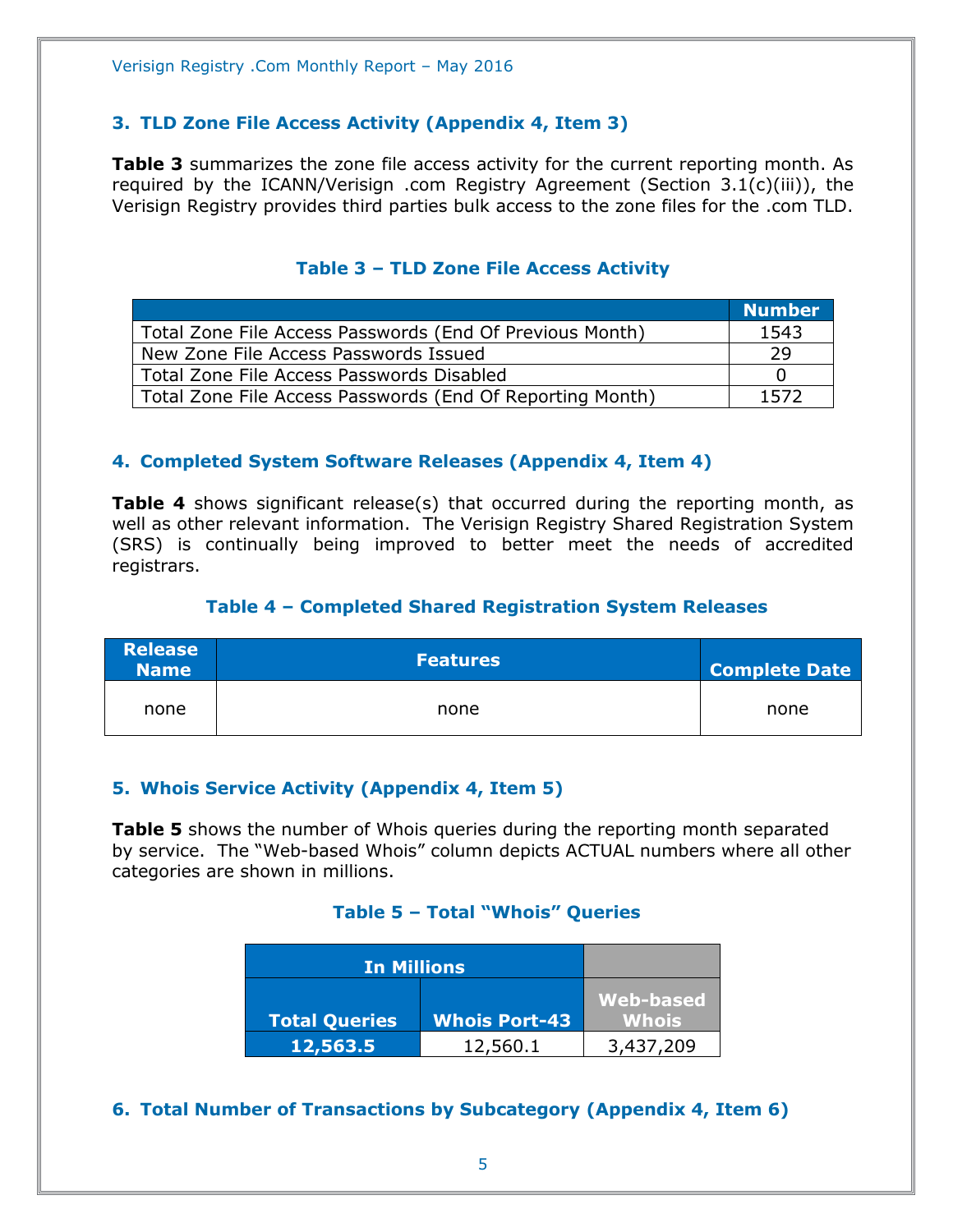#### **3. TLD Zone File Access Activity (Appendix 4, Item 3)**

**Table 3** summarizes the zone file access activity for the current reporting month. As required by the ICANN/Verisign .com Registry Agreement (Section 3.1(c)(iii)), the Verisign Registry provides third parties bulk access to the zone files for the .com TLD.

<span id="page-4-0"></span>

|                                                           | <b>Number</b> |
|-----------------------------------------------------------|---------------|
| Total Zone File Access Passwords (End Of Previous Month)  | 1543          |
| New Zone File Access Passwords Issued                     | -29           |
| Total Zone File Access Passwords Disabled                 | $\mathbf{U}$  |
| Total Zone File Access Passwords (End Of Reporting Month) | 1572          |

#### **Table 3 – TLD Zone File Access Activity**

#### <span id="page-4-1"></span>**4. Completed System Software Releases (Appendix 4, Item 4)**

**Table 4** shows significant release(s) that occurred during the reporting month, as well as other relevant information. The Verisign Registry Shared Registration System (SRS) is continually being improved to better meet the needs of accredited registrars.

#### **Table 4 – Completed Shared Registration System Releases**

<span id="page-4-2"></span>

| <b>Release</b><br><b>Name</b> | <b>Features</b> | <b>Complete Date</b> |
|-------------------------------|-----------------|----------------------|
| none                          | none            | none                 |

#### <span id="page-4-3"></span>**5. Whois Service Activity (Appendix 4, Item 5)**

<span id="page-4-4"></span>**Table 5** shows the number of Whois queries during the reporting month separated by service. The "Web-based Whois" column depicts ACTUAL numbers where all other categories are shown in millions.

#### **Table 5 – Total "Whois" Queries**

| <b>In Millions</b>   |                      |                                  |
|----------------------|----------------------|----------------------------------|
| <b>Total Queries</b> | <b>Whois Port-43</b> | <b>Web-based</b><br><b>Whois</b> |
| 12,563.5             | 12,560.1             | 3,437,209                        |

<span id="page-4-5"></span>**6. Total Number of Transactions by Subcategory (Appendix 4, Item 6)**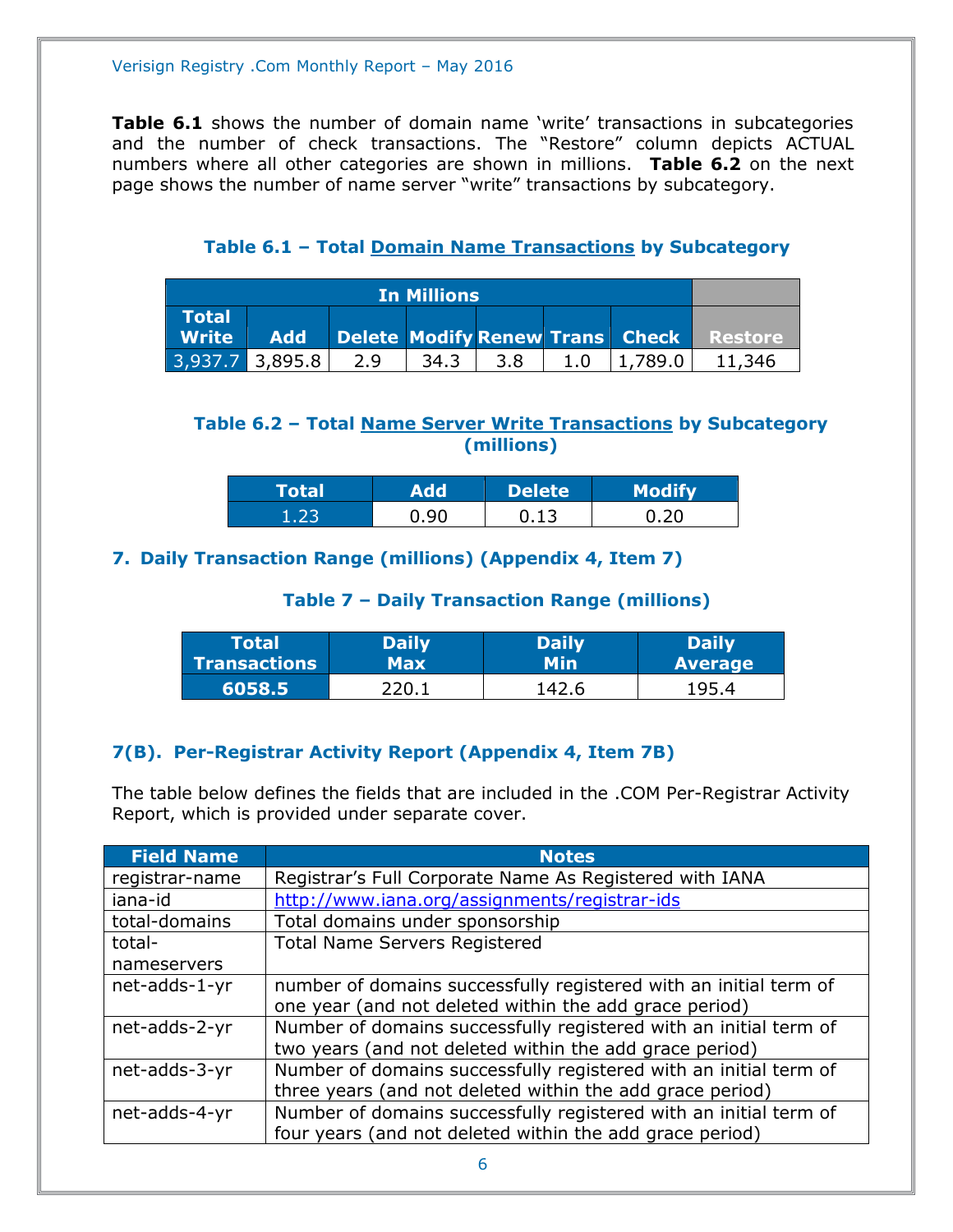**Table 6.1** shows the number of domain name 'write' transactions in subcategories and the number of check transactions. The "Restore" column depicts ACTUAL numbers where all other categories are shown in millions. **Table 6.2** on the next page shows the number of name server "write" transactions by subcategory.

<span id="page-5-0"></span>

| <b>In Millions</b>           |            |     |        |      |     |         |                                         |
|------------------------------|------------|-----|--------|------|-----|---------|-----------------------------------------|
| <b>Total</b><br><b>Write</b> | <b>Add</b> |     |        |      |     |         | Delete Modify Renew Trans Check Restore |
| $3,937.7$ 3,895.8            |            | 2.9 | 34.3 L | -3.8 | 1.0 | 1,789.0 | 11,346                                  |

#### **Table 6.1 – Total Domain Name Transactions by Subcategory**

#### <span id="page-5-1"></span>**Table 6.2 – Total Name Server Write Transactions by Subcategory (millions)**

| Total |      | <b>Delete</b> | <b>Modify</b> |
|-------|------|---------------|---------------|
|       | 90.ر | 0.13          |               |

#### <span id="page-5-3"></span><span id="page-5-2"></span>**7. Daily Transaction Range (millions) (Appendix 4, Item 7)**

#### **Table 7 – Daily Transaction Range (millions)**

| Total               | <b>Daily</b>      | <b>Daily</b> | <b>Daily</b>   |
|---------------------|-------------------|--------------|----------------|
| <b>Transactions</b> | Max               | Min          | <b>Average</b> |
| '6058.5             | <sup>7</sup> 20.1 | 142.6        | 195.4          |

#### <span id="page-5-4"></span>**7(B). Per-Registrar Activity Report (Appendix 4, Item 7B)**

The table below defines the fields that are included in the .COM Per-Registrar Activity Report, which is provided under separate cover.

| <b>Field Name</b> | <b>Notes</b>                                                      |
|-------------------|-------------------------------------------------------------------|
| registrar-name    | Registrar's Full Corporate Name As Registered with IANA           |
| iana-id           | http://www.iana.org/assignments/registrar-ids                     |
| total-domains     | Total domains under sponsorship                                   |
| total-            | <b>Total Name Servers Registered</b>                              |
| nameservers       |                                                                   |
| net-adds-1-yr     | number of domains successfully registered with an initial term of |
|                   | one year (and not deleted within the add grace period)            |
| net-adds-2-yr     | Number of domains successfully registered with an initial term of |
|                   | two years (and not deleted within the add grace period)           |
| net-adds-3-yr     | Number of domains successfully registered with an initial term of |
|                   | three years (and not deleted within the add grace period)         |
| net-adds-4-yr     | Number of domains successfully registered with an initial term of |
|                   | four years (and not deleted within the add grace period)          |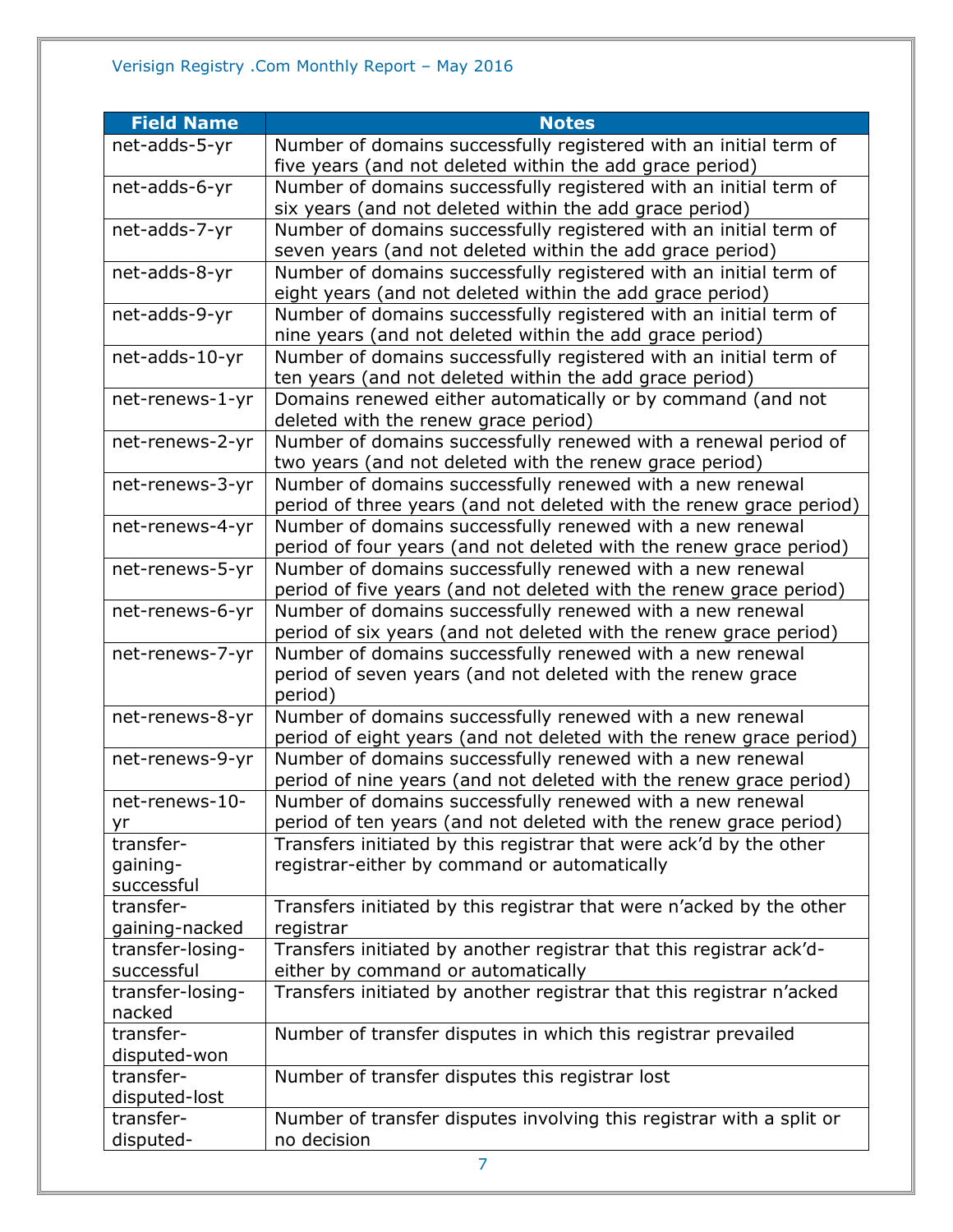| <b>Field Name</b> | <b>Notes</b>                                                                                                                    |
|-------------------|---------------------------------------------------------------------------------------------------------------------------------|
| net-adds-5-yr     | Number of domains successfully registered with an initial term of                                                               |
|                   | five years (and not deleted within the add grace period)                                                                        |
| net-adds-6-yr     | Number of domains successfully registered with an initial term of                                                               |
|                   | six years (and not deleted within the add grace period)                                                                         |
| net-adds-7-yr     | Number of domains successfully registered with an initial term of                                                               |
|                   | seven years (and not deleted within the add grace period)                                                                       |
| net-adds-8-yr     | Number of domains successfully registered with an initial term of                                                               |
|                   | eight years (and not deleted within the add grace period)                                                                       |
| net-adds-9-yr     | Number of domains successfully registered with an initial term of                                                               |
|                   | nine years (and not deleted within the add grace period)                                                                        |
| net-adds-10-yr    | Number of domains successfully registered with an initial term of<br>ten years (and not deleted within the add grace period)    |
| net-renews-1-yr   | Domains renewed either automatically or by command (and not                                                                     |
|                   | deleted with the renew grace period)                                                                                            |
| net-renews-2-yr   | Number of domains successfully renewed with a renewal period of                                                                 |
|                   | two years (and not deleted with the renew grace period)                                                                         |
| net-renews-3-yr   | Number of domains successfully renewed with a new renewal                                                                       |
|                   | period of three years (and not deleted with the renew grace period)                                                             |
| net-renews-4-yr   | Number of domains successfully renewed with a new renewal                                                                       |
|                   | period of four years (and not deleted with the renew grace period)                                                              |
| net-renews-5-yr   | Number of domains successfully renewed with a new renewal                                                                       |
|                   | period of five years (and not deleted with the renew grace period)                                                              |
| net-renews-6-yr   | Number of domains successfully renewed with a new renewal                                                                       |
|                   | period of six years (and not deleted with the renew grace period)                                                               |
| net-renews-7-yr   | Number of domains successfully renewed with a new renewal                                                                       |
|                   | period of seven years (and not deleted with the renew grace                                                                     |
|                   | period)                                                                                                                         |
| net-renews-8-yr   | Number of domains successfully renewed with a new renewal                                                                       |
|                   | period of eight years (and not deleted with the renew grace period)                                                             |
| net-renews-9-yr   | Number of domains successfully renewed with a new renewal<br>period of nine years (and not deleted with the renew grace period) |
| net-renews-10-    | Number of domains successfully renewed with a new renewal                                                                       |
| yr                | period of ten years (and not deleted with the renew grace period)                                                               |
| transfer-         | Transfers initiated by this registrar that were ack'd by the other                                                              |
| gaining-          | registrar-either by command or automatically                                                                                    |
| successful        |                                                                                                                                 |
| transfer-         | Transfers initiated by this registrar that were n'acked by the other                                                            |
| gaining-nacked    | registrar                                                                                                                       |
| transfer-losing-  | Transfers initiated by another registrar that this registrar ack'd-                                                             |
| successful        | either by command or automatically                                                                                              |
| transfer-losing-  | Transfers initiated by another registrar that this registrar n'acked                                                            |
| nacked            |                                                                                                                                 |
| transfer-         | Number of transfer disputes in which this registrar prevailed                                                                   |
| disputed-won      |                                                                                                                                 |
| transfer-         | Number of transfer disputes this registrar lost                                                                                 |
| disputed-lost     |                                                                                                                                 |
| transfer-         | Number of transfer disputes involving this registrar with a split or                                                            |
| disputed-         | no decision                                                                                                                     |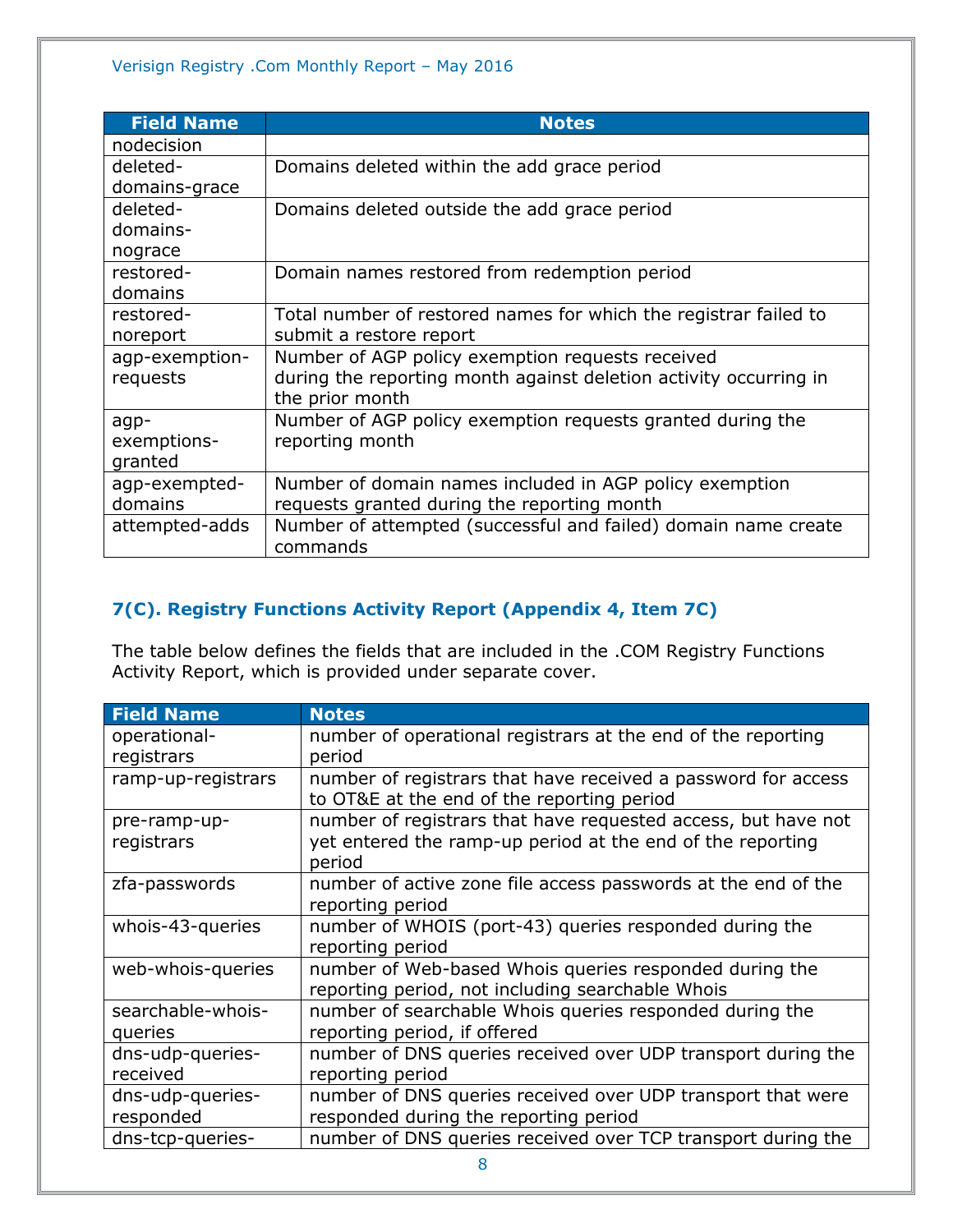| <b>Field Name</b> | <b>Notes</b>                                                      |
|-------------------|-------------------------------------------------------------------|
| nodecision        |                                                                   |
| deleted-          | Domains deleted within the add grace period                       |
| domains-grace     |                                                                   |
| deleted-          | Domains deleted outside the add grace period                      |
| domains-          |                                                                   |
| nograce           |                                                                   |
| restored-         | Domain names restored from redemption period                      |
| domains           |                                                                   |
| restored-         | Total number of restored names for which the registrar failed to  |
| noreport          | submit a restore report                                           |
| agp-exemption-    | Number of AGP policy exemption requests received                  |
| requests          | during the reporting month against deletion activity occurring in |
|                   | the prior month                                                   |
| agp-              | Number of AGP policy exemption requests granted during the        |
| exemptions-       | reporting month                                                   |
| granted           |                                                                   |
| agp-exempted-     | Number of domain names included in AGP policy exemption           |
| domains           | requests granted during the reporting month                       |
| attempted-adds    | Number of attempted (successful and failed) domain name create    |
|                   | commands                                                          |

#### <span id="page-7-0"></span>**7(C). Registry Functions Activity Report (Appendix 4, Item 7C)**

The table below defines the fields that are included in the .COM Registry Functions Activity Report, which is provided under separate cover.

| <b>Field Name</b>             | <b>Notes</b>                                                                                                                          |
|-------------------------------|---------------------------------------------------------------------------------------------------------------------------------------|
| operational-<br>registrars    | number of operational registrars at the end of the reporting<br>period                                                                |
| ramp-up-registrars            | number of registrars that have received a password for access<br>to OT&E at the end of the reporting period                           |
| pre-ramp-up-<br>registrars    | number of registrars that have requested access, but have not<br>yet entered the ramp-up period at the end of the reporting<br>period |
| zfa-passwords                 | number of active zone file access passwords at the end of the<br>reporting period                                                     |
| whois-43-queries              | number of WHOIS (port-43) queries responded during the<br>reporting period                                                            |
| web-whois-queries             | number of Web-based Whois queries responded during the<br>reporting period, not including searchable Whois                            |
| searchable-whois-<br>queries  | number of searchable Whois queries responded during the<br>reporting period, if offered                                               |
| dns-udp-queries-<br>received  | number of DNS queries received over UDP transport during the<br>reporting period                                                      |
| dns-udp-queries-<br>responded | number of DNS queries received over UDP transport that were<br>responded during the reporting period                                  |
| dns-tcp-queries-              | number of DNS queries received over TCP transport during the                                                                          |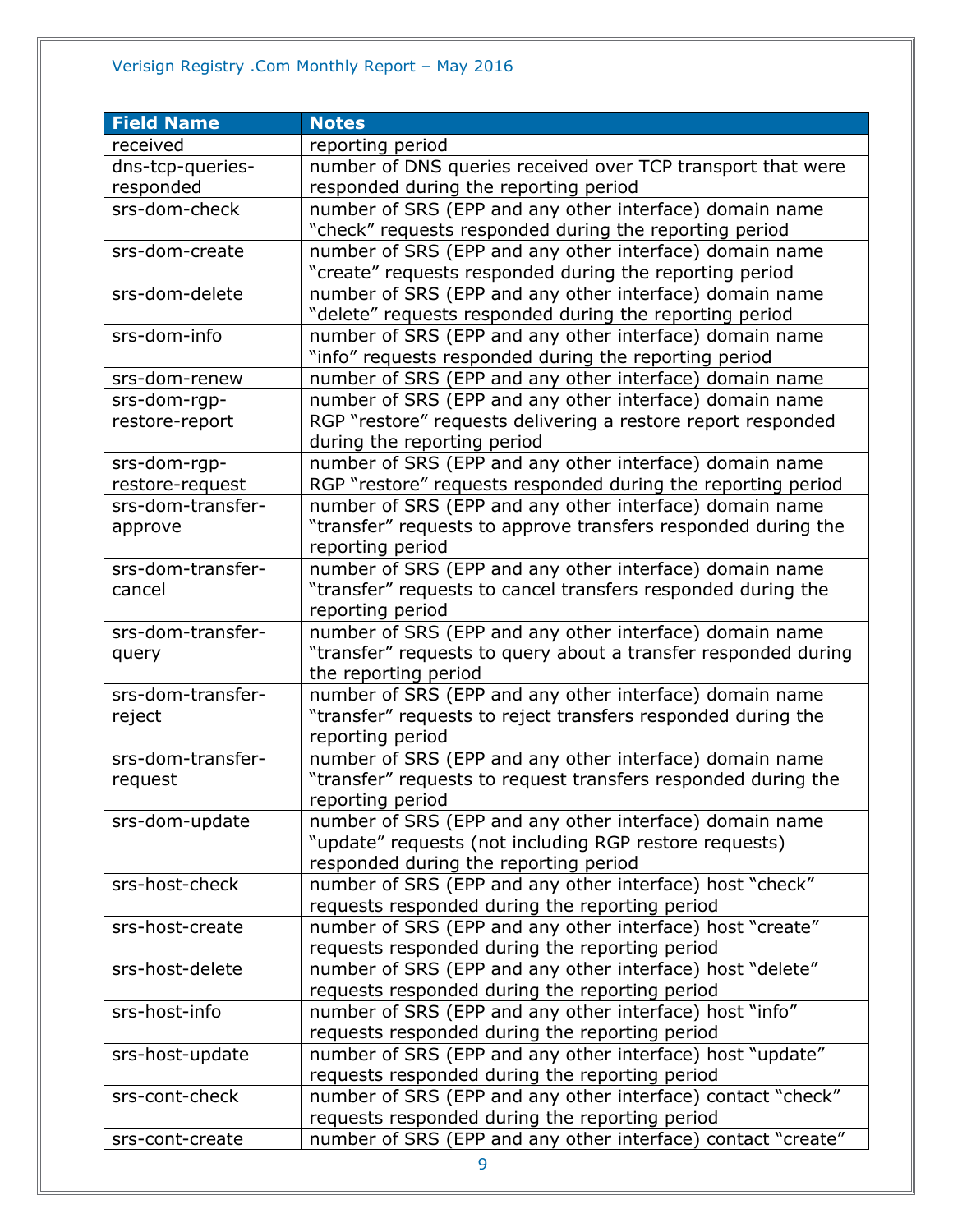#### Verisign Registry .Com Monthly Report – May 2016

| <b>Field Name</b> | <b>Notes</b>                                                                                                |
|-------------------|-------------------------------------------------------------------------------------------------------------|
| received          | reporting period                                                                                            |
| dns-tcp-queries-  | number of DNS queries received over TCP transport that were                                                 |
| responded         | responded during the reporting period                                                                       |
| srs-dom-check     | number of SRS (EPP and any other interface) domain name                                                     |
|                   | "check" requests responded during the reporting period                                                      |
| srs-dom-create    | number of SRS (EPP and any other interface) domain name                                                     |
|                   | "create" requests responded during the reporting period                                                     |
| srs-dom-delete    | number of SRS (EPP and any other interface) domain name                                                     |
|                   | "delete" requests responded during the reporting period                                                     |
| srs-dom-info      | number of SRS (EPP and any other interface) domain name                                                     |
|                   | "info" requests responded during the reporting period                                                       |
| srs-dom-renew     | number of SRS (EPP and any other interface) domain name                                                     |
| srs-dom-rgp-      | number of SRS (EPP and any other interface) domain name                                                     |
| restore-report    | RGP "restore" requests delivering a restore report responded                                                |
|                   | during the reporting period                                                                                 |
| srs-dom-rgp-      | number of SRS (EPP and any other interface) domain name                                                     |
| restore-request   | RGP "restore" requests responded during the reporting period                                                |
| srs-dom-transfer- | number of SRS (EPP and any other interface) domain name                                                     |
| approve           | "transfer" requests to approve transfers responded during the                                               |
|                   | reporting period                                                                                            |
| srs-dom-transfer- | number of SRS (EPP and any other interface) domain name                                                     |
| cancel            | "transfer" requests to cancel transfers responded during the                                                |
|                   | reporting period                                                                                            |
| srs-dom-transfer- | number of SRS (EPP and any other interface) domain name                                                     |
| query             | "transfer" requests to query about a transfer responded during                                              |
|                   | the reporting period                                                                                        |
| srs-dom-transfer- | number of SRS (EPP and any other interface) domain name                                                     |
| reject            | "transfer" requests to reject transfers responded during the                                                |
|                   | reporting period                                                                                            |
| srs-dom-transfer- | number of SRS (EPP and any other interface) domain name                                                     |
| request           | "transfer" requests to request transfers responded during the                                               |
|                   | reporting period                                                                                            |
| srs-dom-update    | number of SRS (EPP and any other interface) domain name                                                     |
|                   | "update" requests (not including RGP restore requests)                                                      |
|                   | responded during the reporting period                                                                       |
| srs-host-check    | number of SRS (EPP and any other interface) host "check"                                                    |
|                   | requests responded during the reporting period                                                              |
| srs-host-create   | number of SRS (EPP and any other interface) host "create"                                                   |
|                   | requests responded during the reporting period<br>number of SRS (EPP and any other interface) host "delete" |
| srs-host-delete   | requests responded during the reporting period                                                              |
| srs-host-info     | number of SRS (EPP and any other interface) host "info"                                                     |
|                   | requests responded during the reporting period                                                              |
| srs-host-update   | number of SRS (EPP and any other interface) host "update"                                                   |
|                   | requests responded during the reporting period                                                              |
| srs-cont-check    | number of SRS (EPP and any other interface) contact "check"                                                 |
|                   | requests responded during the reporting period                                                              |
| srs-cont-create   | number of SRS (EPP and any other interface) contact "create"                                                |
|                   |                                                                                                             |